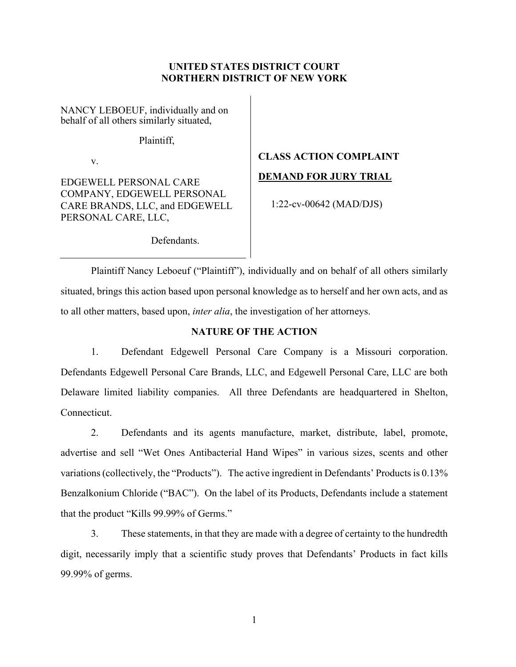# **UNITED STATES DISTRICT COURT NORTHERN DISTRICT OF NEW YORK**

NANCY LEBOEUF, individually and on behalf of all others similarly situated,

Plaintiff,

v.

EDGEWELL PERSONAL CARE COMPANY, EDGEWELL PERSONAL CARE BRANDS, LLC, and EDGEWELL PERSONAL CARE, LLC,

# **CLASS ACTION COMPLAINT DEMAND FOR JURY TRIAL**

1:22-cv-00642 (MAD/DJS)

Defendants.

Plaintiff Nancy Leboeuf ("Plaintiff"), individually and on behalf of all others similarly situated, brings this action based upon personal knowledge as to herself and her own acts, and as to all other matters, based upon, *inter alia*, the investigation of her attorneys.

# **NATURE OF THE ACTION**

1. Defendant Edgewell Personal Care Company is a Missouri corporation. Defendants Edgewell Personal Care Brands, LLC, and Edgewell Personal Care, LLC are both Delaware limited liability companies. All three Defendants are headquartered in Shelton, Connecticut.

2. Defendants and its agents manufacture, market, distribute, label, promote, advertise and sell "Wet Ones Antibacterial Hand Wipes" in various sizes, scents and other variations (collectively, the "Products"). The active ingredient in Defendants' Products is 0.13% Benzalkonium Chloride ("BAC"). On the label of its Products, Defendants include a statement that the product "Kills 99.99% of Germs."

3. These statements, in that they are made with a degree of certainty to the hundredth digit, necessarily imply that a scientific study proves that Defendants' Products in fact kills 99.99% of germs.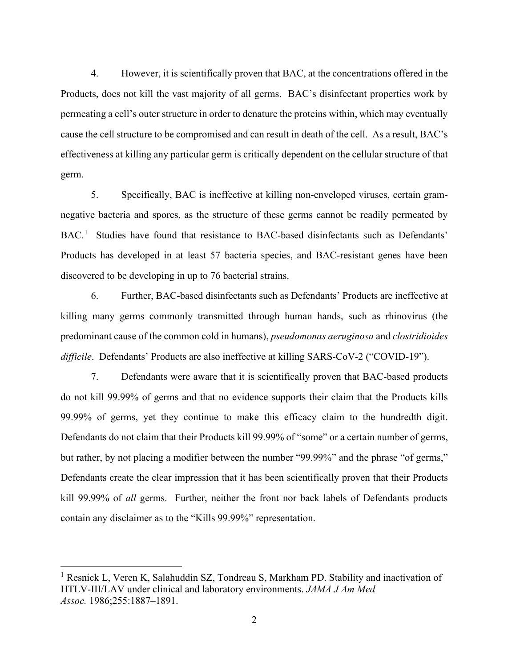4. However, it is scientifically proven that BAC, at the concentrations offered in the Products, does not kill the vast majority of all germs. BAC's disinfectant properties work by permeating a cell's outer structure in order to denature the proteins within, which may eventually cause the cell structure to be compromised and can result in death of the cell. As a result, BAC's effectiveness at killing any particular germ is critically dependent on the cellular structure of that germ.

5. Specifically, BAC is ineffective at killing non-enveloped viruses, certain gramnegative bacteria and spores, as the structure of these germs cannot be readily permeated by BAC.<sup>1</sup> Studies have found that resistance to BAC-based disinfectants such as Defendants' Products has developed in at least 57 bacteria species, and BAC-resistant genes have been discovered to be developing in up to 76 bacterial strains.

6. Further, BAC-based disinfectants such as Defendants' Products are ineffective at killing many germs commonly transmitted through human hands, such as rhinovirus (the predominant cause of the common cold in humans), *pseudomonas aeruginosa* and *clostridioides difficile*. Defendants' Products are also ineffective at killing SARS-CoV-2 ("COVID-19").

7. Defendants were aware that it is scientifically proven that BAC-based products do not kill 99.99% of germs and that no evidence supports their claim that the Products kills 99.99% of germs, yet they continue to make this efficacy claim to the hundredth digit. Defendants do not claim that their Products kill 99.99% of "some" or a certain number of germs, but rather, by not placing a modifier between the number "99.99%" and the phrase "of germs," Defendants create the clear impression that it has been scientifically proven that their Products kill 99.99% of *all* germs. Further, neither the front nor back labels of Defendants products contain any disclaimer as to the "Kills 99.99%" representation.

<sup>&</sup>lt;sup>1</sup> Resnick L, Veren K, Salahuddin SZ, Tondreau S, Markham PD. Stability and inactivation of HTLV-III/LAV under clinical and laboratory environments. *JAMA J Am Med Assoc.* 1986;255:1887–1891.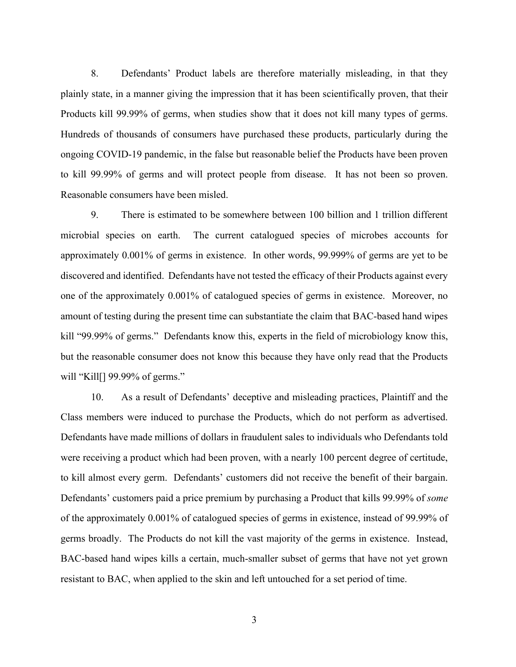8. Defendants' Product labels are therefore materially misleading, in that they plainly state, in a manner giving the impression that it has been scientifically proven, that their Products kill 99.99% of germs, when studies show that it does not kill many types of germs. Hundreds of thousands of consumers have purchased these products, particularly during the ongoing COVID-19 pandemic, in the false but reasonable belief the Products have been proven to kill 99.99% of germs and will protect people from disease. It has not been so proven. Reasonable consumers have been misled.

9. There is estimated to be somewhere between 100 billion and 1 trillion different microbial species on earth. The current catalogued species of microbes accounts for approximately 0.001% of germs in existence. In other words, 99.999% of germs are yet to be discovered and identified. Defendants have not tested the efficacy of their Products against every one of the approximately 0.001% of catalogued species of germs in existence. Moreover, no amount of testing during the present time can substantiate the claim that BAC-based hand wipes kill "99.99% of germs." Defendants know this, experts in the field of microbiology know this, but the reasonable consumer does not know this because they have only read that the Products will "Kill[] 99.99% of germs."

10. As a result of Defendants' deceptive and misleading practices, Plaintiff and the Class members were induced to purchase the Products, which do not perform as advertised. Defendants have made millions of dollars in fraudulent sales to individuals who Defendants told were receiving a product which had been proven, with a nearly 100 percent degree of certitude, to kill almost every germ. Defendants' customers did not receive the benefit of their bargain. Defendants' customers paid a price premium by purchasing a Product that kills 99.99% of *some*  of the approximately 0.001% of catalogued species of germs in existence, instead of 99.99% of germs broadly. The Products do not kill the vast majority of the germs in existence. Instead, BAC-based hand wipes kills a certain, much-smaller subset of germs that have not yet grown resistant to BAC, when applied to the skin and left untouched for a set period of time.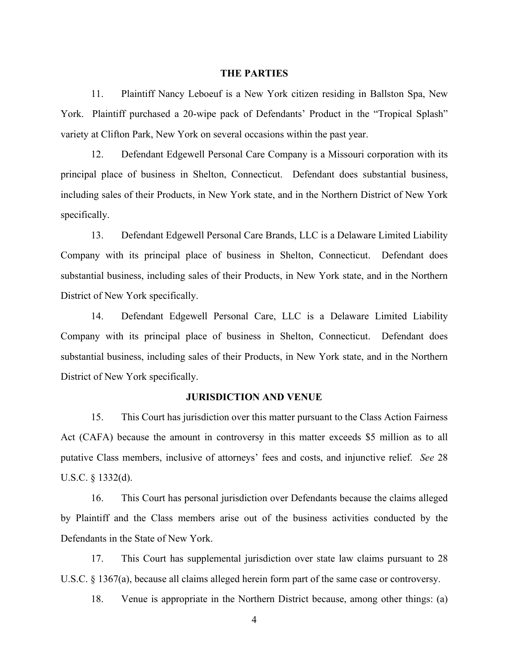#### **THE PARTIES**

11. Plaintiff Nancy Leboeuf is a New York citizen residing in Ballston Spa, New York. Plaintiff purchased a 20-wipe pack of Defendants' Product in the "Tropical Splash" variety at Clifton Park, New York on several occasions within the past year.

12. Defendant Edgewell Personal Care Company is a Missouri corporation with its principal place of business in Shelton, Connecticut. Defendant does substantial business, including sales of their Products, in New York state, and in the Northern District of New York specifically.

13. Defendant Edgewell Personal Care Brands, LLC is a Delaware Limited Liability Company with its principal place of business in Shelton, Connecticut. Defendant does substantial business, including sales of their Products, in New York state, and in the Northern District of New York specifically.

14. Defendant Edgewell Personal Care, LLC is a Delaware Limited Liability Company with its principal place of business in Shelton, Connecticut. Defendant does substantial business, including sales of their Products, in New York state, and in the Northern District of New York specifically.

#### **JURISDICTION AND VENUE**

15. This Court has jurisdiction over this matter pursuant to the Class Action Fairness Act (CAFA) because the amount in controversy in this matter exceeds \$5 million as to all putative Class members, inclusive of attorneys' fees and costs, and injunctive relief. *See* 28 U.S.C. § 1332(d).

16. This Court has personal jurisdiction over Defendants because the claims alleged by Plaintiff and the Class members arise out of the business activities conducted by the Defendants in the State of New York.

17. This Court has supplemental jurisdiction over state law claims pursuant to 28 U.S.C. § 1367(a), because all claims alleged herein form part of the same case or controversy.

18. Venue is appropriate in the Northern District because, among other things: (a)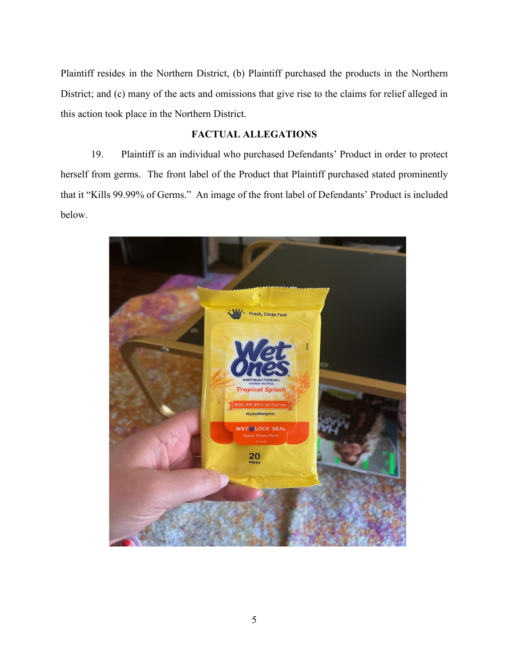Plaintiff resides in the Northern District, (b) Plaintiff purchased the products in the Northern District; and (c) many of the acts and omissions that give rise to the claims for relief alleged in this action took place in the Northern District.

# **FACTUAL ALLEGATIONS**

19. Plaintiff is an individual who purchased Defendants' Product in order to protect herself from germs. The front label of the Product that Plaintiff purchased stated prominently that it "Kills 99.99% of Germs." An image of the front label of Defendants' Product is included below.

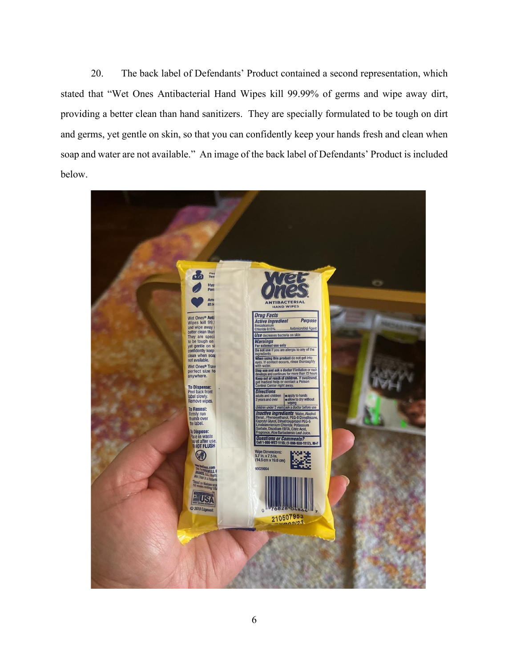20. The back label of Defendants' Product contained a second representation, which stated that "Wet Ones Antibacterial Hand Wipes kill 99.99% of germs and wipe away dirt, providing a better clean than hand sanitizers. They are specially formulated to be tough on dirt and germs, yet gentle on skin, so that you can confidently keep your hands fresh and clean when soap and water are not available." An image of the back label of Defendants' Product is included below.

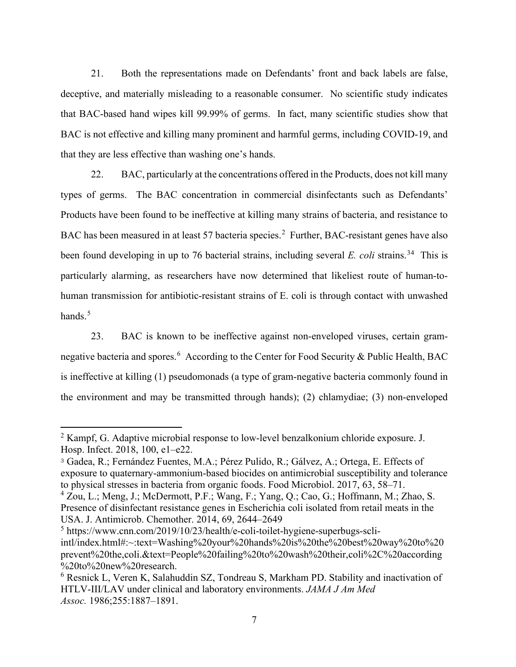21. Both the representations made on Defendants' front and back labels are false, deceptive, and materially misleading to a reasonable consumer. No scientific study indicates that BAC-based hand wipes kill 99.99% of germs. In fact, many scientific studies show that BAC is not effective and killing many prominent and harmful germs, including COVID-19, and that they are less effective than washing one's hands.

22. BAC, particularly at the concentrations offered in the Products, does not kill many types of germs. The BAC concentration in commercial disinfectants such as Defendants' Products have been found to be ineffective at killing many strains of bacteria, and resistance to BAC has been measured in at least 57 bacteria species.<sup>2</sup> Further, BAC-resistant genes have also been found developing in up to 76 bacterial strains, including several *E. coli* strains.<sup>34</sup> This is particularly alarming, as researchers have now determined that likeliest route of human-tohuman transmission for antibiotic-resistant strains of E. coli is through contact with unwashed hands. $5$ 

23. BAC is known to be ineffective against non-enveloped viruses, certain gramnegative bacteria and spores.<sup>6</sup> According to the Center for Food Security & Public Health, BAC is ineffective at killing (1) pseudomonads (a type of gram-negative bacteria commonly found in the environment and may be transmitted through hands); (2) chlamydiae; (3) non-enveloped

 $2$  Kampf, G. Adaptive microbial response to low-level benzalkonium chloride exposure. J. Hosp. Infect. 2018, 100, e1–e22.

<sup>3</sup> Gadea, R.; Fernández Fuentes, M.A.; Pérez Pulido, R.; Gálvez, A.; Ortega, E. Effects of exposure to quaternary-ammonium-based biocides on antimicrobial susceptibility and tolerance to physical stresses in bacteria from organic foods. Food Microbiol. 2017, 63, 58–71.

<sup>4</sup> Zou, L.; Meng, J.; McDermott, P.F.; Wang, F.; Yang, Q.; Cao, G.; Hoffmann, M.; Zhao, S. Presence of disinfectant resistance genes in Escherichia coli isolated from retail meats in the USA. J. Antimicrob. Chemother. 2014, 69, 2644–2649

<sup>5</sup> https://www.cnn.com/2019/10/23/health/e-coli-toilet-hygiene-superbugs-scliintl/index.html#:~:text=Washing%20your%20hands%20is%20the%20best%20way%20to%20 prevent%20the,coli.&text=People%20failing%20to%20wash%20their,coli%2C%20according %20to%20new%20research.

<sup>&</sup>lt;sup>6</sup> Resnick L, Veren K, Salahuddin SZ, Tondreau S, Markham PD. Stability and inactivation of HTLV-III/LAV under clinical and laboratory environments. *JAMA J Am Med Assoc.* 1986;255:1887–1891.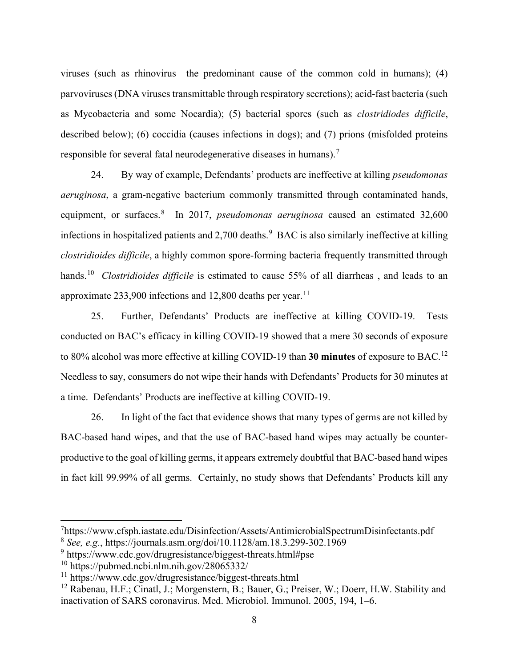viruses (such as rhinovirus—the predominant cause of the common cold in humans); (4) parvoviruses (DNA viruses transmittable through respiratory secretions); acid-fast bacteria (such as Mycobacteria and some Nocardia); (5) bacterial spores (such as *clostridiodes difficile*, described below); (6) coccidia (causes infections in dogs); and (7) prions (misfolded proteins responsible for several fatal neurodegenerative diseases in humans).<sup>7</sup>

24. By way of example, Defendants' products are ineffective at killing *pseudomonas aeruginosa*, a gram-negative bacterium commonly transmitted through contaminated hands, equipment, or surfaces.<sup>8</sup> In 2017, *pseudomonas aeruginosa* caused an estimated 32,600 infections in hospitalized patients and  $2,700$  deaths.<sup>9</sup> BAC is also similarly ineffective at killing *clostridioides difficile*, a highly common spore-forming bacteria frequently transmitted through hands.10 *Clostridioides difficile* is estimated to cause 55% of all diarrheas , and leads to an approximate  $233,900$  infections and 12,800 deaths per year.<sup>11</sup>

25. Further, Defendants' Products are ineffective at killing COVID-19. Tests conducted on BAC's efficacy in killing COVID-19 showed that a mere 30 seconds of exposure to 80% alcohol was more effective at killing COVID-19 than **30 minutes** of exposure to BAC.12 Needless to say, consumers do not wipe their hands with Defendants' Products for 30 minutes at a time. Defendants' Products are ineffective at killing COVID-19.

26. In light of the fact that evidence shows that many types of germs are not killed by BAC-based hand wipes, and that the use of BAC-based hand wipes may actually be counterproductive to the goal of killing germs, it appears extremely doubtful that BAC-based hand wipes in fact kill 99.99% of all germs. Certainly, no study shows that Defendants' Products kill any

<sup>7</sup> https://www.cfsph.iastate.edu/Disinfection/Assets/AntimicrobialSpectrumDisinfectants.pdf

<sup>8</sup> *See, e.g.*, https://journals.asm.org/doi/10.1128/am.18.3.299-302.1969

<sup>&</sup>lt;sup>9</sup> https://www.cdc.gov/drugresistance/biggest-threats.html#pse

 $10$  https://pubmed.ncbi.nlm.nih.gov/28065332/

<sup>11</sup> https://www.cdc.gov/drugresistance/biggest-threats.html

<sup>&</sup>lt;sup>12</sup> Rabenau, H.F.; Cinatl, J.; Morgenstern, B.; Bauer, G.; Preiser, W.; Doerr, H.W. Stability and inactivation of SARS coronavirus. Med. Microbiol. Immunol. 2005, 194, 1–6.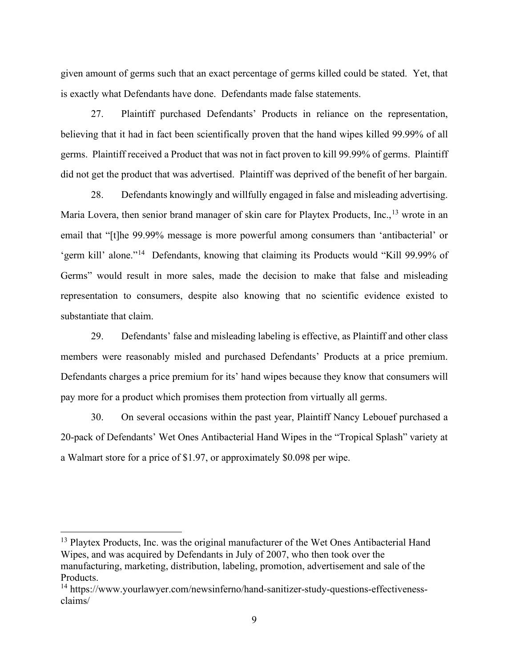given amount of germs such that an exact percentage of germs killed could be stated. Yet, that is exactly what Defendants have done. Defendants made false statements.

27. Plaintiff purchased Defendants' Products in reliance on the representation, believing that it had in fact been scientifically proven that the hand wipes killed 99.99% of all germs. Plaintiff received a Product that was not in fact proven to kill 99.99% of germs. Plaintiff did not get the product that was advertised. Plaintiff was deprived of the benefit of her bargain.

28. Defendants knowingly and willfully engaged in false and misleading advertising. Maria Lovera, then senior brand manager of skin care for Playtex Products, Inc., <sup>13</sup> wrote in an email that "[t]he 99.99% message is more powerful among consumers than 'antibacterial' or 'germ kill' alone."14 Defendants, knowing that claiming its Products would "Kill 99.99% of Germs" would result in more sales, made the decision to make that false and misleading representation to consumers, despite also knowing that no scientific evidence existed to substantiate that claim.

29. Defendants' false and misleading labeling is effective, as Plaintiff and other class members were reasonably misled and purchased Defendants' Products at a price premium. Defendants charges a price premium for its' hand wipes because they know that consumers will pay more for a product which promises them protection from virtually all germs.

30. On several occasions within the past year, Plaintiff Nancy Lebouef purchased a 20-pack of Defendants' Wet Ones Antibacterial Hand Wipes in the "Tropical Splash" variety at a Walmart store for a price of \$1.97, or approximately \$0.098 per wipe.

<sup>&</sup>lt;sup>13</sup> Playtex Products, Inc. was the original manufacturer of the Wet Ones Antibacterial Hand Wipes, and was acquired by Defendants in July of 2007, who then took over the manufacturing, marketing, distribution, labeling, promotion, advertisement and sale of the Products.

<sup>&</sup>lt;sup>14</sup> https://www.yourlawyer.com/newsinferno/hand-sanitizer-study-questions-effectivenessclaims/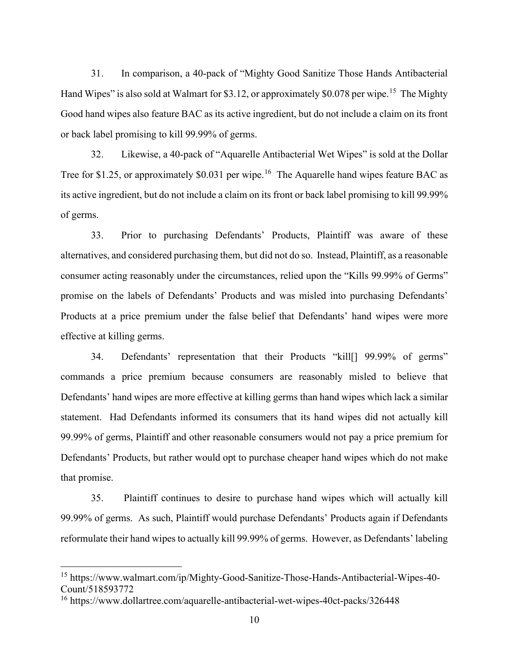31. In comparison, a 40-pack of "Mighty Good Sanitize Those Hands Antibacterial Hand Wipes" is also sold at Walmart for \$3.12, or approximately \$0.078 per wipe.<sup>15</sup> The Mighty Good hand wipes also feature BAC as its active ingredient, but do not include a claim on its front or back label promising to kill 99.99% of germs.

32. Likewise, a 40-pack of "Aquarelle Antibacterial Wet Wipes" is sold at the Dollar Tree for \$1.25, or approximately \$0.031 per wipe.<sup>16</sup> The Aquarelle hand wipes feature BAC as its active ingredient, but do not include a claim on its front or back label promising to kill 99.99% of germs.

33. Prior to purchasing Defendants' Products, Plaintiff was aware of these alternatives, and considered purchasing them, but did not do so. Instead, Plaintiff, as a reasonable consumer acting reasonably under the circumstances, relied upon the "Kills 99.99% of Germs" promise on the labels of Defendants' Products and was misled into purchasing Defendants' Products at a price premium under the false belief that Defendants' hand wipes were more effective at killing germs.

34. Defendants' representation that their Products "kill[] 99.99% of germs" commands a price premium because consumers are reasonably misled to believe that Defendants' hand wipes are more effective at killing germs than hand wipes which lack a similar statement. Had Defendants informed its consumers that its hand wipes did not actually kill 99.99% of germs, Plaintiff and other reasonable consumers would not pay a price premium for Defendants' Products, but rather would opt to purchase cheaper hand wipes which do not make that promise.

35. Plaintiff continues to desire to purchase hand wipes which will actually kill 99.99% of germs. As such, Plaintiff would purchase Defendants' Products again if Defendants reformulate their hand wipes to actually kill 99.99% of germs. However, as Defendants' labeling

<sup>&</sup>lt;sup>15</sup> https://www.walmart.com/ip/Mighty-Good-Sanitize-Those-Hands-Antibacterial-Wipes-40-Count/518593772

<sup>16</sup> https://www.dollartree.com/aquarelle-antibacterial-wet-wipes-40ct-packs/326448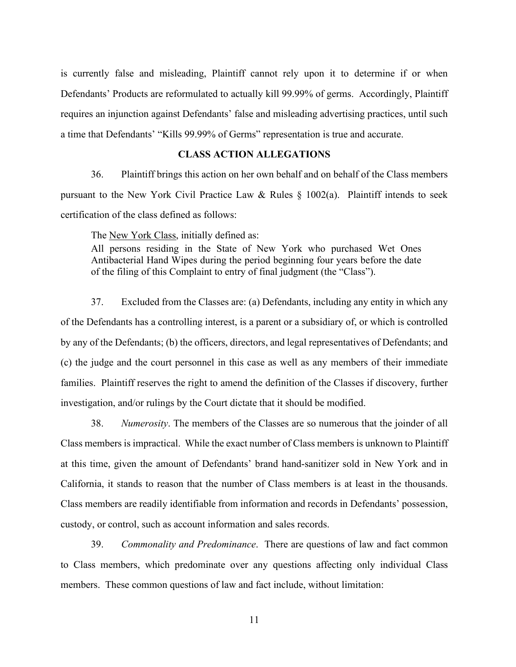is currently false and misleading, Plaintiff cannot rely upon it to determine if or when Defendants' Products are reformulated to actually kill 99.99% of germs. Accordingly, Plaintiff requires an injunction against Defendants' false and misleading advertising practices, until such a time that Defendants' "Kills 99.99% of Germs" representation is true and accurate.

# **CLASS ACTION ALLEGATIONS**

36. Plaintiff brings this action on her own behalf and on behalf of the Class members pursuant to the New York Civil Practice Law & Rules  $\S$  1002(a). Plaintiff intends to seek certification of the class defined as follows:

The New York Class, initially defined as:

All persons residing in the State of New York who purchased Wet Ones Antibacterial Hand Wipes during the period beginning four years before the date of the filing of this Complaint to entry of final judgment (the "Class").

37. Excluded from the Classes are: (a) Defendants, including any entity in which any of the Defendants has a controlling interest, is a parent or a subsidiary of, or which is controlled by any of the Defendants; (b) the officers, directors, and legal representatives of Defendants; and (c) the judge and the court personnel in this case as well as any members of their immediate families. Plaintiff reserves the right to amend the definition of the Classes if discovery, further investigation, and/or rulings by the Court dictate that it should be modified.

38. *Numerosity*. The members of the Classes are so numerous that the joinder of all Class members is impractical. While the exact number of Class members is unknown to Plaintiff at this time, given the amount of Defendants' brand hand-sanitizer sold in New York and in California, it stands to reason that the number of Class members is at least in the thousands. Class members are readily identifiable from information and records in Defendants' possession, custody, or control, such as account information and sales records.

39. *Commonality and Predominance*. There are questions of law and fact common to Class members, which predominate over any questions affecting only individual Class members. These common questions of law and fact include, without limitation: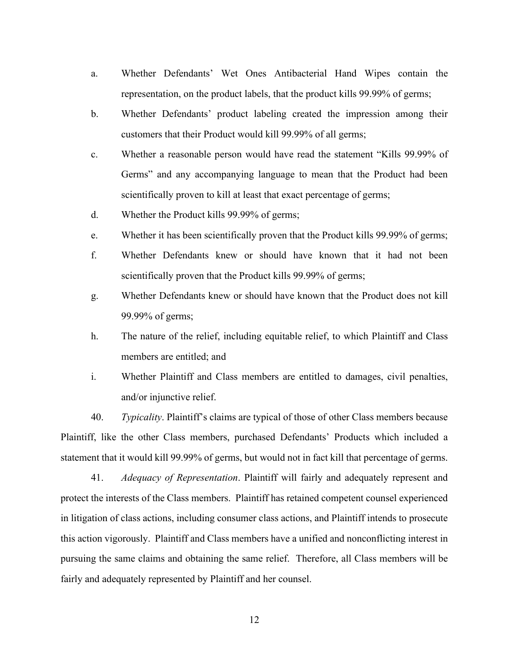- a. Whether Defendants' Wet Ones Antibacterial Hand Wipes contain the representation, on the product labels, that the product kills 99.99% of germs;
- b. Whether Defendants' product labeling created the impression among their customers that their Product would kill 99.99% of all germs;
- c. Whether a reasonable person would have read the statement "Kills 99.99% of Germs" and any accompanying language to mean that the Product had been scientifically proven to kill at least that exact percentage of germs;
- d. Whether the Product kills 99.99% of germs;
- e. Whether it has been scientifically proven that the Product kills 99.99% of germs;
- f. Whether Defendants knew or should have known that it had not been scientifically proven that the Product kills 99.99% of germs;
- g. Whether Defendants knew or should have known that the Product does not kill 99.99% of germs;
- h. The nature of the relief, including equitable relief, to which Plaintiff and Class members are entitled; and
- i. Whether Plaintiff and Class members are entitled to damages, civil penalties, and/or injunctive relief.

40. *Typicality*. Plaintiff's claims are typical of those of other Class members because Plaintiff, like the other Class members, purchased Defendants' Products which included a statement that it would kill 99.99% of germs, but would not in fact kill that percentage of germs.

41. *Adequacy of Representation*. Plaintiff will fairly and adequately represent and protect the interests of the Class members. Plaintiff has retained competent counsel experienced in litigation of class actions, including consumer class actions, and Plaintiff intends to prosecute this action vigorously. Plaintiff and Class members have a unified and nonconflicting interest in pursuing the same claims and obtaining the same relief. Therefore, all Class members will be fairly and adequately represented by Plaintiff and her counsel.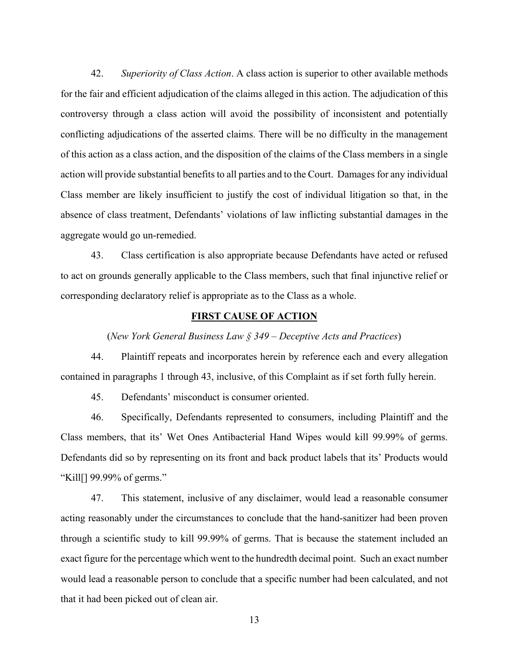42. *Superiority of Class Action*. A class action is superior to other available methods for the fair and efficient adjudication of the claims alleged in this action. The adjudication of this controversy through a class action will avoid the possibility of inconsistent and potentially conflicting adjudications of the asserted claims. There will be no difficulty in the management of this action as a class action, and the disposition of the claims of the Class members in a single action will provide substantial benefits to all parties and to the Court. Damages for any individual Class member are likely insufficient to justify the cost of individual litigation so that, in the absence of class treatment, Defendants' violations of law inflicting substantial damages in the aggregate would go un-remedied.

43. Class certification is also appropriate because Defendants have acted or refused to act on grounds generally applicable to the Class members, such that final injunctive relief or corresponding declaratory relief is appropriate as to the Class as a whole.

#### **FIRST CAUSE OF ACTION**

(*New York General Business Law § 349 – Deceptive Acts and Practices*)

44. Plaintiff repeats and incorporates herein by reference each and every allegation contained in paragraphs 1 through 43, inclusive, of this Complaint as if set forth fully herein.

45. Defendants' misconduct is consumer oriented.

46. Specifically, Defendants represented to consumers, including Plaintiff and the Class members, that its' Wet Ones Antibacterial Hand Wipes would kill 99.99% of germs. Defendants did so by representing on its front and back product labels that its' Products would "Kill[] 99.99% of germs."

47. This statement, inclusive of any disclaimer, would lead a reasonable consumer acting reasonably under the circumstances to conclude that the hand-sanitizer had been proven through a scientific study to kill 99.99% of germs. That is because the statement included an exact figure for the percentage which went to the hundredth decimal point. Such an exact number would lead a reasonable person to conclude that a specific number had been calculated, and not that it had been picked out of clean air.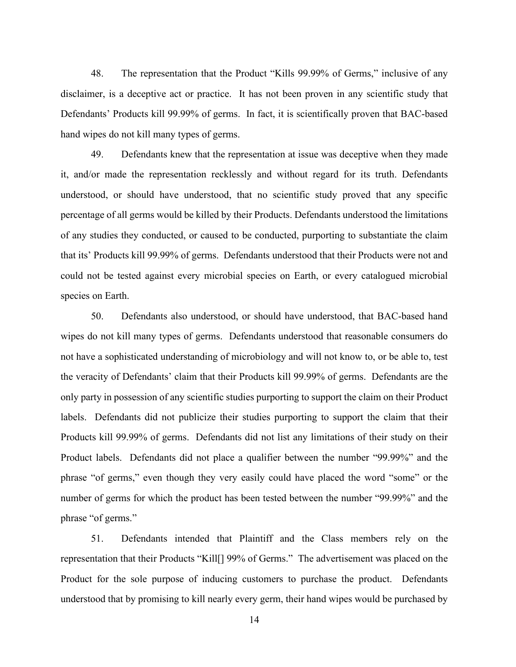48. The representation that the Product "Kills 99.99% of Germs," inclusive of any disclaimer, is a deceptive act or practice. It has not been proven in any scientific study that Defendants' Products kill 99.99% of germs. In fact, it is scientifically proven that BAC-based hand wipes do not kill many types of germs.

49. Defendants knew that the representation at issue was deceptive when they made it, and/or made the representation recklessly and without regard for its truth. Defendants understood, or should have understood, that no scientific study proved that any specific percentage of all germs would be killed by their Products. Defendants understood the limitations of any studies they conducted, or caused to be conducted, purporting to substantiate the claim that its' Products kill 99.99% of germs. Defendants understood that their Products were not and could not be tested against every microbial species on Earth, or every catalogued microbial species on Earth.

50. Defendants also understood, or should have understood, that BAC-based hand wipes do not kill many types of germs. Defendants understood that reasonable consumers do not have a sophisticated understanding of microbiology and will not know to, or be able to, test the veracity of Defendants' claim that their Products kill 99.99% of germs. Defendants are the only party in possession of any scientific studies purporting to support the claim on their Product labels. Defendants did not publicize their studies purporting to support the claim that their Products kill 99.99% of germs. Defendants did not list any limitations of their study on their Product labels. Defendants did not place a qualifier between the number "99.99%" and the phrase "of germs," even though they very easily could have placed the word "some" or the number of germs for which the product has been tested between the number "99.99%" and the phrase "of germs."

51. Defendants intended that Plaintiff and the Class members rely on the representation that their Products "Kill[] 99% of Germs." The advertisement was placed on the Product for the sole purpose of inducing customers to purchase the product. Defendants understood that by promising to kill nearly every germ, their hand wipes would be purchased by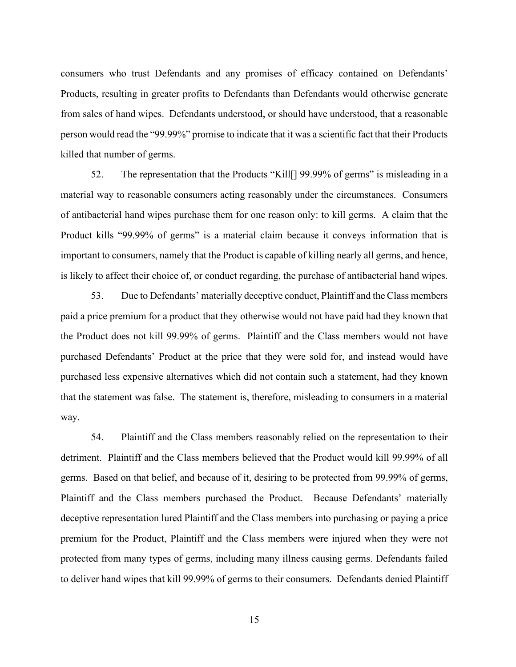consumers who trust Defendants and any promises of efficacy contained on Defendants' Products, resulting in greater profits to Defendants than Defendants would otherwise generate from sales of hand wipes. Defendants understood, or should have understood, that a reasonable person would read the "99.99%" promise to indicate that it was a scientific fact that their Products killed that number of germs.

52. The representation that the Products "Kill<sup>[]</sup> 99.99% of germs" is misleading in a material way to reasonable consumers acting reasonably under the circumstances. Consumers of antibacterial hand wipes purchase them for one reason only: to kill germs. A claim that the Product kills "99.99% of germs" is a material claim because it conveys information that is important to consumers, namely that the Product is capable of killing nearly all germs, and hence, is likely to affect their choice of, or conduct regarding, the purchase of antibacterial hand wipes.

53. Due to Defendants' materially deceptive conduct, Plaintiff and the Class members paid a price premium for a product that they otherwise would not have paid had they known that the Product does not kill 99.99% of germs. Plaintiff and the Class members would not have purchased Defendants' Product at the price that they were sold for, and instead would have purchased less expensive alternatives which did not contain such a statement, had they known that the statement was false. The statement is, therefore, misleading to consumers in a material way.

54. Plaintiff and the Class members reasonably relied on the representation to their detriment. Plaintiff and the Class members believed that the Product would kill 99.99% of all germs. Based on that belief, and because of it, desiring to be protected from 99.99% of germs, Plaintiff and the Class members purchased the Product. Because Defendants' materially deceptive representation lured Plaintiff and the Class members into purchasing or paying a price premium for the Product, Plaintiff and the Class members were injured when they were not protected from many types of germs, including many illness causing germs. Defendants failed to deliver hand wipes that kill 99.99% of germs to their consumers. Defendants denied Plaintiff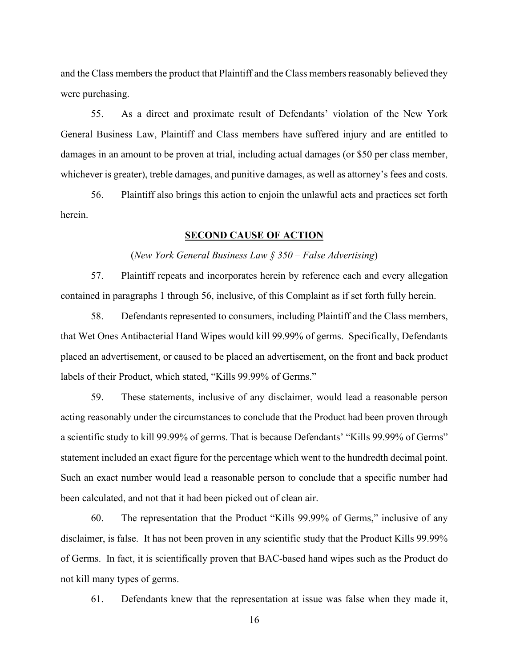and the Class members the product that Plaintiff and the Class members reasonably believed they were purchasing.

55. As a direct and proximate result of Defendants' violation of the New York General Business Law, Plaintiff and Class members have suffered injury and are entitled to damages in an amount to be proven at trial, including actual damages (or \$50 per class member, whichever is greater), treble damages, and punitive damages, as well as attorney's fees and costs.

56. Plaintiff also brings this action to enjoin the unlawful acts and practices set forth herein.

#### **SECOND CAUSE OF ACTION**

#### (*New York General Business Law § 350 – False Advertising*)

57. Plaintiff repeats and incorporates herein by reference each and every allegation contained in paragraphs 1 through 56, inclusive, of this Complaint as if set forth fully herein.

58. Defendants represented to consumers, including Plaintiff and the Class members, that Wet Ones Antibacterial Hand Wipes would kill 99.99% of germs. Specifically, Defendants placed an advertisement, or caused to be placed an advertisement, on the front and back product labels of their Product, which stated, "Kills 99.99% of Germs."

59. These statements, inclusive of any disclaimer, would lead a reasonable person acting reasonably under the circumstances to conclude that the Product had been proven through a scientific study to kill 99.99% of germs. That is because Defendants' "Kills 99.99% of Germs" statement included an exact figure for the percentage which went to the hundredth decimal point. Such an exact number would lead a reasonable person to conclude that a specific number had been calculated, and not that it had been picked out of clean air.

60. The representation that the Product "Kills 99.99% of Germs," inclusive of any disclaimer, is false. It has not been proven in any scientific study that the Product Kills 99.99% of Germs. In fact, it is scientifically proven that BAC-based hand wipes such as the Product do not kill many types of germs.

61. Defendants knew that the representation at issue was false when they made it,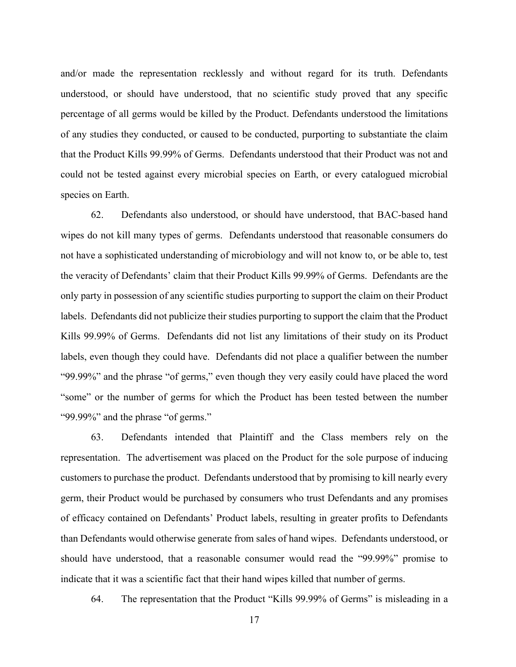and/or made the representation recklessly and without regard for its truth. Defendants understood, or should have understood, that no scientific study proved that any specific percentage of all germs would be killed by the Product. Defendants understood the limitations of any studies they conducted, or caused to be conducted, purporting to substantiate the claim that the Product Kills 99.99% of Germs. Defendants understood that their Product was not and could not be tested against every microbial species on Earth, or every catalogued microbial species on Earth.

62. Defendants also understood, or should have understood, that BAC-based hand wipes do not kill many types of germs. Defendants understood that reasonable consumers do not have a sophisticated understanding of microbiology and will not know to, or be able to, test the veracity of Defendants' claim that their Product Kills 99.99% of Germs. Defendants are the only party in possession of any scientific studies purporting to support the claim on their Product labels. Defendants did not publicize their studies purporting to support the claim that the Product Kills 99.99% of Germs. Defendants did not list any limitations of their study on its Product labels, even though they could have. Defendants did not place a qualifier between the number "99.99%" and the phrase "of germs," even though they very easily could have placed the word "some" or the number of germs for which the Product has been tested between the number "99.99%" and the phrase "of germs."

63. Defendants intended that Plaintiff and the Class members rely on the representation. The advertisement was placed on the Product for the sole purpose of inducing customers to purchase the product. Defendants understood that by promising to kill nearly every germ, their Product would be purchased by consumers who trust Defendants and any promises of efficacy contained on Defendants' Product labels, resulting in greater profits to Defendants than Defendants would otherwise generate from sales of hand wipes. Defendants understood, or should have understood, that a reasonable consumer would read the "99.99%" promise to indicate that it was a scientific fact that their hand wipes killed that number of germs.

64. The representation that the Product "Kills 99.99% of Germs" is misleading in a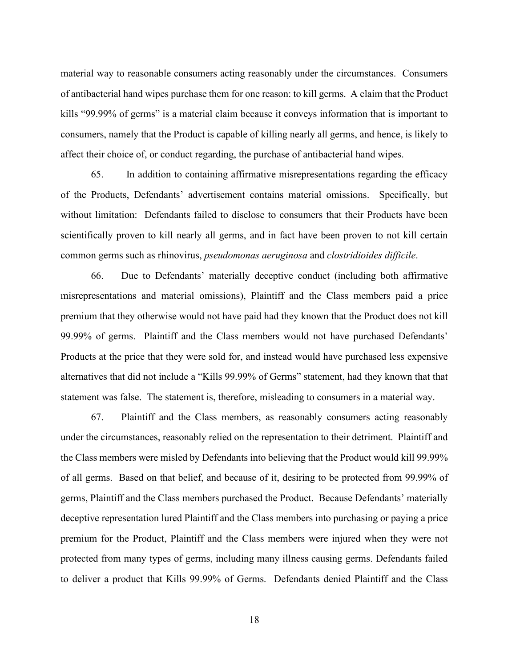material way to reasonable consumers acting reasonably under the circumstances. Consumers of antibacterial hand wipes purchase them for one reason: to kill germs. A claim that the Product kills "99.99% of germs" is a material claim because it conveys information that is important to consumers, namely that the Product is capable of killing nearly all germs, and hence, is likely to affect their choice of, or conduct regarding, the purchase of antibacterial hand wipes.

65. In addition to containing affirmative misrepresentations regarding the efficacy of the Products, Defendants' advertisement contains material omissions. Specifically, but without limitation: Defendants failed to disclose to consumers that their Products have been scientifically proven to kill nearly all germs, and in fact have been proven to not kill certain common germs such as rhinovirus, *pseudomonas aeruginosa* and *clostridioides difficile*.

66. Due to Defendants' materially deceptive conduct (including both affirmative misrepresentations and material omissions), Plaintiff and the Class members paid a price premium that they otherwise would not have paid had they known that the Product does not kill 99.99% of germs. Plaintiff and the Class members would not have purchased Defendants' Products at the price that they were sold for, and instead would have purchased less expensive alternatives that did not include a "Kills 99.99% of Germs" statement, had they known that that statement was false. The statement is, therefore, misleading to consumers in a material way.

67. Plaintiff and the Class members, as reasonably consumers acting reasonably under the circumstances, reasonably relied on the representation to their detriment. Plaintiff and the Class members were misled by Defendants into believing that the Product would kill 99.99% of all germs. Based on that belief, and because of it, desiring to be protected from 99.99% of germs, Plaintiff and the Class members purchased the Product. Because Defendants' materially deceptive representation lured Plaintiff and the Class members into purchasing or paying a price premium for the Product, Plaintiff and the Class members were injured when they were not protected from many types of germs, including many illness causing germs. Defendants failed to deliver a product that Kills 99.99% of Germs. Defendants denied Plaintiff and the Class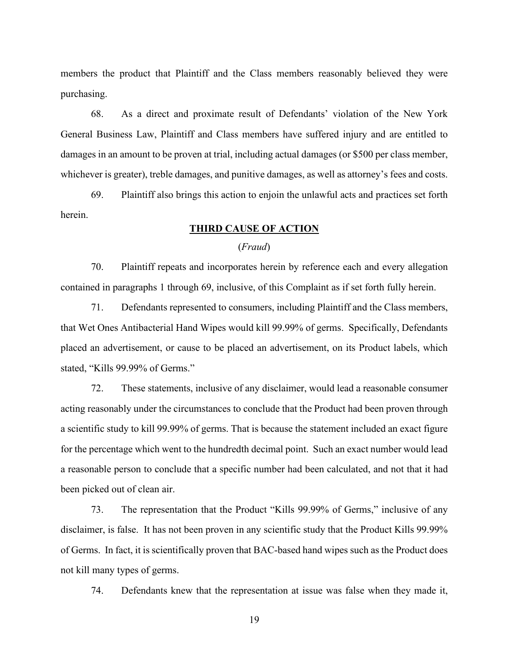members the product that Plaintiff and the Class members reasonably believed they were purchasing.

68. As a direct and proximate result of Defendants' violation of the New York General Business Law, Plaintiff and Class members have suffered injury and are entitled to damages in an amount to be proven at trial, including actual damages (or \$500 per class member, whichever is greater), treble damages, and punitive damages, as well as attorney's fees and costs.

69. Plaintiff also brings this action to enjoin the unlawful acts and practices set forth herein.

# **THIRD CAUSE OF ACTION**

#### (*Fraud*)

70. Plaintiff repeats and incorporates herein by reference each and every allegation contained in paragraphs 1 through 69, inclusive, of this Complaint as if set forth fully herein.

71. Defendants represented to consumers, including Plaintiff and the Class members, that Wet Ones Antibacterial Hand Wipes would kill 99.99% of germs. Specifically, Defendants placed an advertisement, or cause to be placed an advertisement, on its Product labels, which stated, "Kills 99.99% of Germs."

72. These statements, inclusive of any disclaimer, would lead a reasonable consumer acting reasonably under the circumstances to conclude that the Product had been proven through a scientific study to kill 99.99% of germs. That is because the statement included an exact figure for the percentage which went to the hundredth decimal point. Such an exact number would lead a reasonable person to conclude that a specific number had been calculated, and not that it had been picked out of clean air.

73. The representation that the Product "Kills 99.99% of Germs," inclusive of any disclaimer, is false. It has not been proven in any scientific study that the Product Kills 99.99% of Germs. In fact, it is scientifically proven that BAC-based hand wipes such as the Product does not kill many types of germs.

74. Defendants knew that the representation at issue was false when they made it,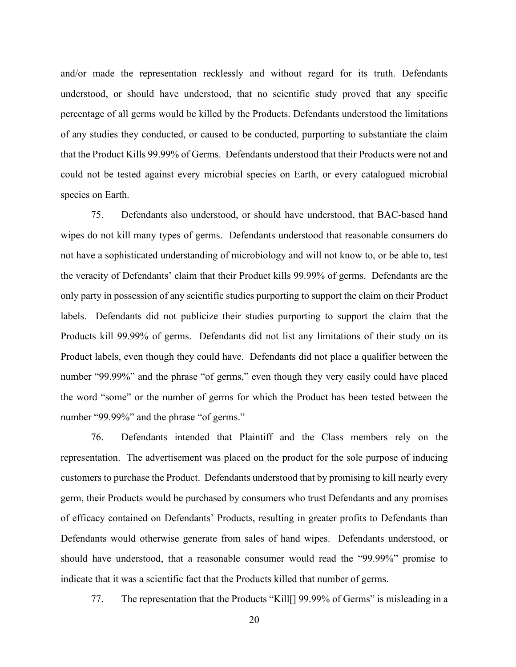and/or made the representation recklessly and without regard for its truth. Defendants understood, or should have understood, that no scientific study proved that any specific percentage of all germs would be killed by the Products. Defendants understood the limitations of any studies they conducted, or caused to be conducted, purporting to substantiate the claim that the Product Kills 99.99% of Germs. Defendants understood that their Products were not and could not be tested against every microbial species on Earth, or every catalogued microbial species on Earth.

75. Defendants also understood, or should have understood, that BAC-based hand wipes do not kill many types of germs. Defendants understood that reasonable consumers do not have a sophisticated understanding of microbiology and will not know to, or be able to, test the veracity of Defendants' claim that their Product kills 99.99% of germs. Defendants are the only party in possession of any scientific studies purporting to support the claim on their Product labels. Defendants did not publicize their studies purporting to support the claim that the Products kill 99.99% of germs. Defendants did not list any limitations of their study on its Product labels, even though they could have. Defendants did not place a qualifier between the number "99.99%" and the phrase "of germs," even though they very easily could have placed the word "some" or the number of germs for which the Product has been tested between the number "99.99%" and the phrase "of germs."

76. Defendants intended that Plaintiff and the Class members rely on the representation. The advertisement was placed on the product for the sole purpose of inducing customers to purchase the Product. Defendants understood that by promising to kill nearly every germ, their Products would be purchased by consumers who trust Defendants and any promises of efficacy contained on Defendants' Products, resulting in greater profits to Defendants than Defendants would otherwise generate from sales of hand wipes. Defendants understood, or should have understood, that a reasonable consumer would read the "99.99%" promise to indicate that it was a scientific fact that the Products killed that number of germs.

77. The representation that the Products "Kill[] 99.99% of Germs" is misleading in a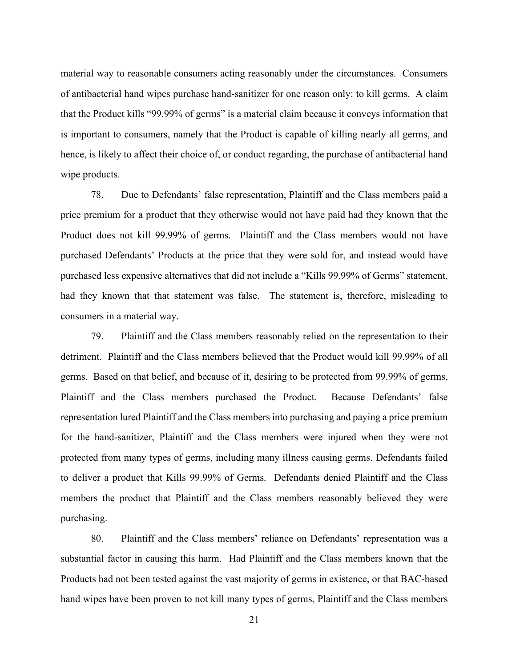material way to reasonable consumers acting reasonably under the circumstances. Consumers of antibacterial hand wipes purchase hand-sanitizer for one reason only: to kill germs. A claim that the Product kills "99.99% of germs" is a material claim because it conveys information that is important to consumers, namely that the Product is capable of killing nearly all germs, and hence, is likely to affect their choice of, or conduct regarding, the purchase of antibacterial hand wipe products.

78. Due to Defendants' false representation, Plaintiff and the Class members paid a price premium for a product that they otherwise would not have paid had they known that the Product does not kill 99.99% of germs. Plaintiff and the Class members would not have purchased Defendants' Products at the price that they were sold for, and instead would have purchased less expensive alternatives that did not include a "Kills 99.99% of Germs" statement, had they known that that statement was false. The statement is, therefore, misleading to consumers in a material way.

79. Plaintiff and the Class members reasonably relied on the representation to their detriment. Plaintiff and the Class members believed that the Product would kill 99.99% of all germs. Based on that belief, and because of it, desiring to be protected from 99.99% of germs, Plaintiff and the Class members purchased the Product. Because Defendants' false representation lured Plaintiff and the Class members into purchasing and paying a price premium for the hand-sanitizer, Plaintiff and the Class members were injured when they were not protected from many types of germs, including many illness causing germs. Defendants failed to deliver a product that Kills 99.99% of Germs. Defendants denied Plaintiff and the Class members the product that Plaintiff and the Class members reasonably believed they were purchasing.

80. Plaintiff and the Class members' reliance on Defendants' representation was a substantial factor in causing this harm. Had Plaintiff and the Class members known that the Products had not been tested against the vast majority of germs in existence, or that BAC-based hand wipes have been proven to not kill many types of germs, Plaintiff and the Class members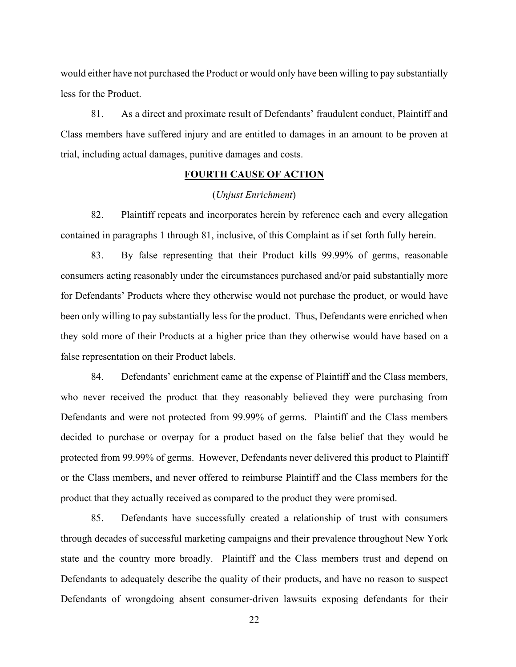would either have not purchased the Product or would only have been willing to pay substantially less for the Product.

81. As a direct and proximate result of Defendants' fraudulent conduct, Plaintiff and Class members have suffered injury and are entitled to damages in an amount to be proven at trial, including actual damages, punitive damages and costs.

# **FOURTH CAUSE OF ACTION**

#### (*Unjust Enrichment*)

82. Plaintiff repeats and incorporates herein by reference each and every allegation contained in paragraphs 1 through 81, inclusive, of this Complaint as if set forth fully herein.

83. By false representing that their Product kills 99.99% of germs, reasonable consumers acting reasonably under the circumstances purchased and/or paid substantially more for Defendants' Products where they otherwise would not purchase the product, or would have been only willing to pay substantially less for the product. Thus, Defendants were enriched when they sold more of their Products at a higher price than they otherwise would have based on a false representation on their Product labels.

84. Defendants' enrichment came at the expense of Plaintiff and the Class members, who never received the product that they reasonably believed they were purchasing from Defendants and were not protected from 99.99% of germs. Plaintiff and the Class members decided to purchase or overpay for a product based on the false belief that they would be protected from 99.99% of germs. However, Defendants never delivered this product to Plaintiff or the Class members, and never offered to reimburse Plaintiff and the Class members for the product that they actually received as compared to the product they were promised.

85. Defendants have successfully created a relationship of trust with consumers through decades of successful marketing campaigns and their prevalence throughout New York state and the country more broadly. Plaintiff and the Class members trust and depend on Defendants to adequately describe the quality of their products, and have no reason to suspect Defendants of wrongdoing absent consumer-driven lawsuits exposing defendants for their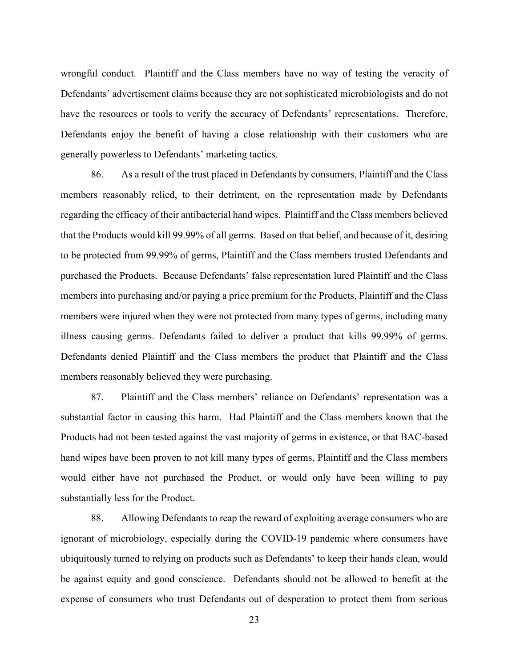wrongful conduct. Plaintiff and the Class members have no way of testing the veracity of Defendants' advertisement claims because they are not sophisticated microbiologists and do not have the resources or tools to verify the accuracy of Defendants' representations. Therefore, Defendants enjoy the benefit of having a close relationship with their customers who are generally powerless to Defendants' marketing tactics.

86. As a result of the trust placed in Defendants by consumers, Plaintiff and the Class members reasonably relied, to their detriment, on the representation made by Defendants regarding the efficacy of their antibacterial hand wipes. Plaintiff and the Class members believed that the Products would kill 99.99% of all germs. Based on that belief, and because of it, desiring to be protected from 99.99% of germs, Plaintiff and the Class members trusted Defendants and purchased the Products. Because Defendants' false representation lured Plaintiff and the Class members into purchasing and/or paying a price premium for the Products, Plaintiff and the Class members were injured when they were not protected from many types of germs, including many illness causing germs. Defendants failed to deliver a product that kills 99.99% of germs. Defendants denied Plaintiff and the Class members the product that Plaintiff and the Class members reasonably believed they were purchasing.

87. Plaintiff and the Class members' reliance on Defendants' representation was a substantial factor in causing this harm. Had Plaintiff and the Class members known that the Products had not been tested against the vast majority of germs in existence, or that BAC-based hand wipes have been proven to not kill many types of germs, Plaintiff and the Class members would either have not purchased the Product, or would only have been willing to pay substantially less for the Product.

88. Allowing Defendants to reap the reward of exploiting average consumers who are ignorant of microbiology, especially during the COVID-19 pandemic where consumers have ubiquitously turned to relying on products such as Defendants' to keep their hands clean, would be against equity and good conscience. Defendants should not be allowed to benefit at the expense of consumers who trust Defendants out of desperation to protect them from serious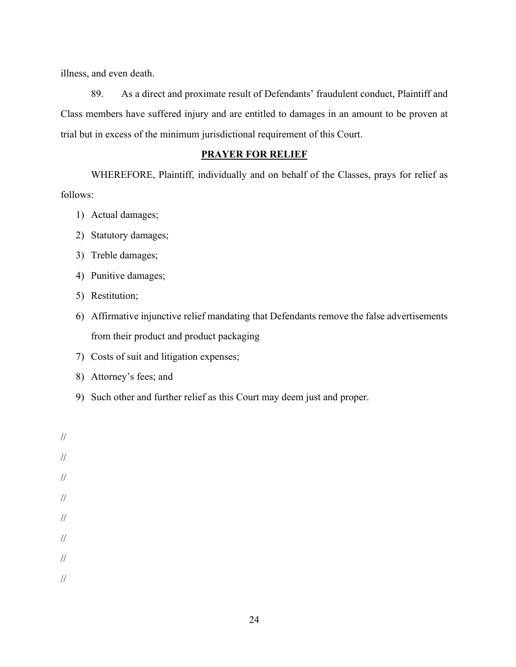illness, and even death.

89. As a direct and proximate result of Defendants' fraudulent conduct, Plaintiff and Class members have suffered injury and are entitled to damages in an amount to be proven at trial but in excess of the minimum jurisdictional requirement of this Court.

# **PRAYER FOR RELIEF**

WHEREFORE, Plaintiff, individually and on behalf of the Classes, prays for relief as follows:

- 1) Actual damages;
- 2) Statutory damages;
- 3) Treble damages;
- 4) Punitive damages;
- 5) Restitution;
- 6) Affirmative injunctive relief mandating that Defendants remove the false advertisements from their product and product packaging
- 7) Costs of suit and litigation expenses;
- 8) Attorney's fees; and
- 9) Such other and further relief as this Court may deem just and proper.

// // // // // // // //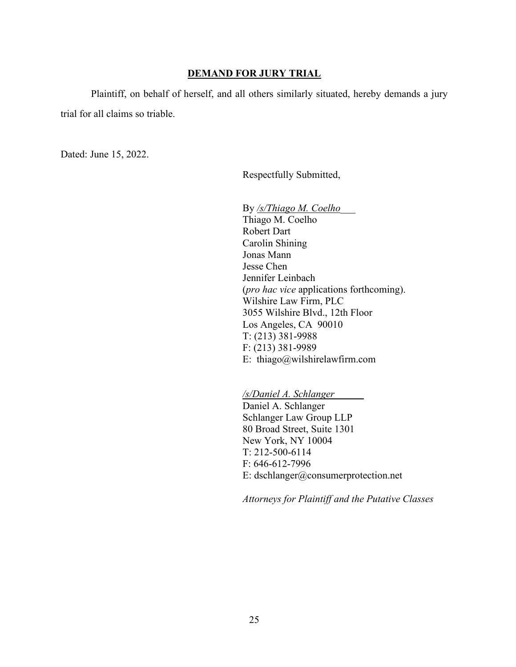#### **DEMAND FOR JURY TRIAL**

Plaintiff, on behalf of herself, and all others similarly situated, hereby demands a jury trial for all claims so triable.

Dated: June 15, 2022.

Respectfully Submitted,

By */s/Thiago M. Coelho*\_\_\_ Thiago M. Coelho Robert Dart Carolin Shining Jonas Mann Jesse Chen Jennifer Leinbach (*pro hac vice* applications forthcoming). Wilshire Law Firm, PLC 3055 Wilshire Blvd., 12th Floor Los Angeles, CA 90010 T: (213) 381-9988 F: (213) 381-9989 E: thiago@wilshirelawfirm.com

*/s/Daniel A. Schlanger* 

Daniel A. Schlanger Schlanger Law Group LLP 80 Broad Street, Suite 1301 New York, NY 10004 T: 212-500-6114 F: 646-612-7996 E: dschlanger@consumerprotection.net

*Attorneys for Plaintiff and the Putative Classes*